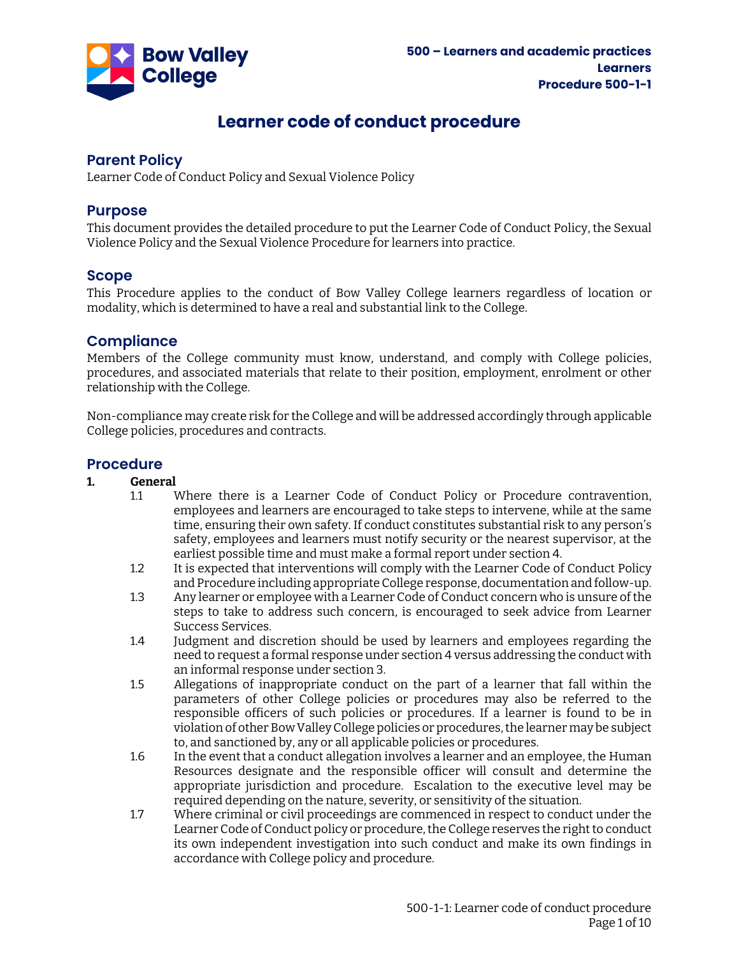

## **Learner code of conduct procedure**

## **Parent Policy**

Learner Code of Conduct Policy and Sexual Violence Policy

## **Purpose**

This document provides the detailed procedure to put the Learner Code of Conduct Policy, the Sexual Violence Policy and the Sexual Violence Procedure for learners into practice.

## **Scope**

This Procedure applies to the conduct of Bow Valley College learners regardless of location or modality, which is determined to have a real and substantial link to the College.

## **Compliance**

Members of the College community must know, understand, and comply with College policies, procedures, and associated materials that relate to their position, employment, enrolment or other relationship with the College.

Non-compliance may create risk for the College and will be addressed accordingly through applicable College policies, procedures and contracts.

# **Procedure**

#### **1. General**

- 1.1 Where there is a Learner Code of Conduct Policy or Procedure contravention, employees and learners are encouraged to take steps to intervene, while at the same time, ensuring their own safety. If conduct constitutes substantial risk to any person's safety, employees and learners must notify security or the nearest supervisor, at the earliest possible time and must make a formal report under section [4.](#page-1-0)
- 1.2 It is expected that interventions will comply with the Learner Code of Conduct Policy and Procedure including appropriate College response, documentation and follow-up.
- 1.3 Any learner or employee with a Learner Code of Conduct concern who is unsure of the steps to take to address such concern, is encouraged to seek advice from Learner Success Services.
- 1.4 Judgment and discretion should be used by learners and employees regarding the need to request a formal response under sectio[n 4](#page-1-0) versus addressing the conduct with an informal response under section [3.](#page-1-1)
- 1.5 Allegations of inappropriate conduct on the part of a learner that fall within the parameters of other College policies or procedures may also be referred to the responsible officers of such policies or procedures. If a learner is found to be in violation of other Bow Valley College policies or procedures, the learner may be subject to, and sanctioned by, any or all applicable policies or procedures.
- 1.6 In the event that a conduct allegation involves a learner and an employee, the Human Resources designate and the responsible officer will consult and determine the appropriate jurisdiction and procedure. Escalation to the executive level may be required depending on the nature, severity, or sensitivity of the situation.
- 1.7 Where criminal or civil proceedings are commenced in respect to conduct under the Learner Code of Conduct policy or procedure, the College reserves the right to conduct its own independent investigation into such conduct and make its own findings in accordance with College policy and procedure.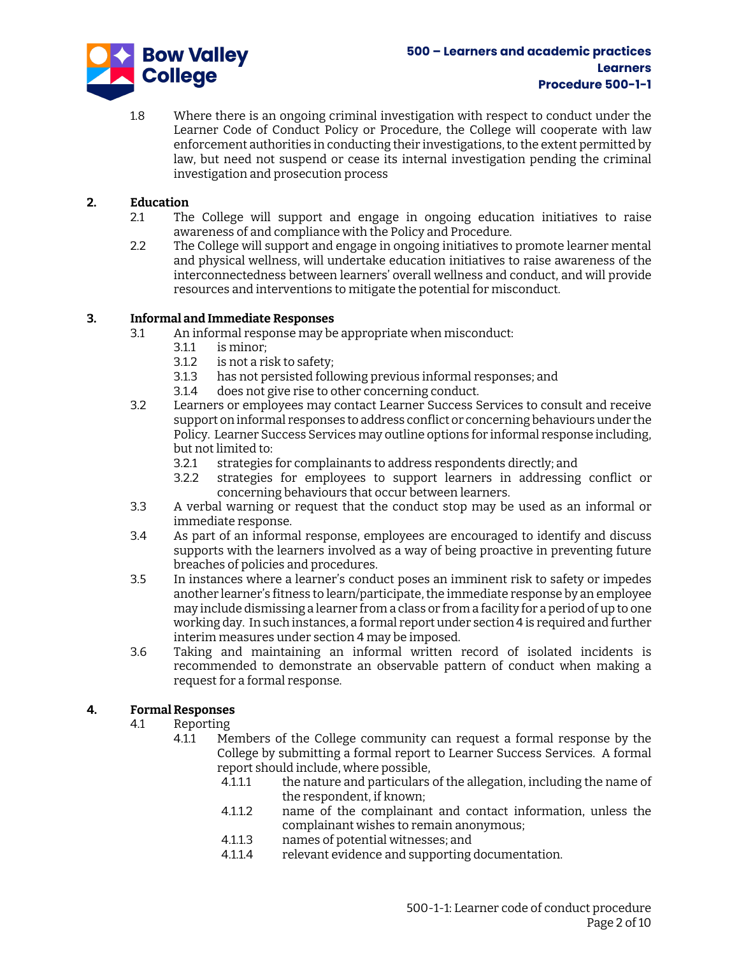

1.8 Where there is an ongoing criminal investigation with respect to conduct under the Learner Code of Conduct Policy or Procedure, the College will cooperate with law enforcement authorities in conducting their investigations, to the extent permitted by law, but need not suspend or cease its internal investigation pending the criminal investigation and prosecution process

## **2. Education**

- 2.1 The College will support and engage in ongoing education initiatives to raise awareness of and compliance with the Policy and Procedure.
- 2.2 The College will support and engage in ongoing initiatives to promote learner mental and physical wellness, will undertake education initiatives to raise awareness of the interconnectedness between learners' overall wellness and conduct, and will provide resources and interventions to mitigate the potential for misconduct.

## <span id="page-1-1"></span>**3. Informal and Immediate Responses**

- 3.1 An informal response may be appropriate when misconduct:
	- 3.1.1 is minor;<br>3.1.2 is not a ris
		- is not a risk to safety;
	- 3.1.3 has not persisted following previous informal responses; and
	- 3.1.4 does not give rise to other concerning conduct.
- 3.2 Learners or employees may contact Learner Success Services to consult and receive support on informal responses to address conflict or concerning behaviours under the Policy. Learner Success Services may outline options for informal response including, but not limited to:
	- 3.2.1 strategies for complainants to address respondents directly; and
	- 3.2.2 strategies for employees to support learners in addressing conflict or concerning behaviours that occur between learners.
- 3.3 A verbal warning or request that the conduct stop may be used as an informal or immediate response.
- 3.4 As part of an informal response, employees are encouraged to identify and discuss supports with the learners involved as a way of being proactive in preventing future breaches of policies and procedures.
- 3.5 In instances where a learner's conduct poses an imminent risk to safety or impedes another learner's fitness to learn/participate, the immediate response by an employee may include dismissing a learner from a class or from a facility for a period of up to one working day. In such instances, a formal report under sectio[n 4](#page-1-0) is required and further interim measures under section [4](#page-1-0) may be imposed.
- 3.6 Taking and maintaining an informal written record of isolated incidents is recommended to demonstrate an observable pattern of conduct when making a request for a formal response.

## <span id="page-1-0"></span>**4. Formal Responses**

- 4.1 Reporting
	- 4.1.1 Members of the College community can request a formal response by the College by submitting a formal report to Learner Success Services. A formal report should include, where possible,
		- 4.1.1.1 the nature and particulars of the allegation, including the name of the respondent, if known;
		- 4.1.1.2 name of the complainant and contact information, unless the complainant wishes to remain anonymous;
		- 4.1.1.3 names of potential witnesses; and
		- 4.1.1.4 relevant evidence and supporting documentation.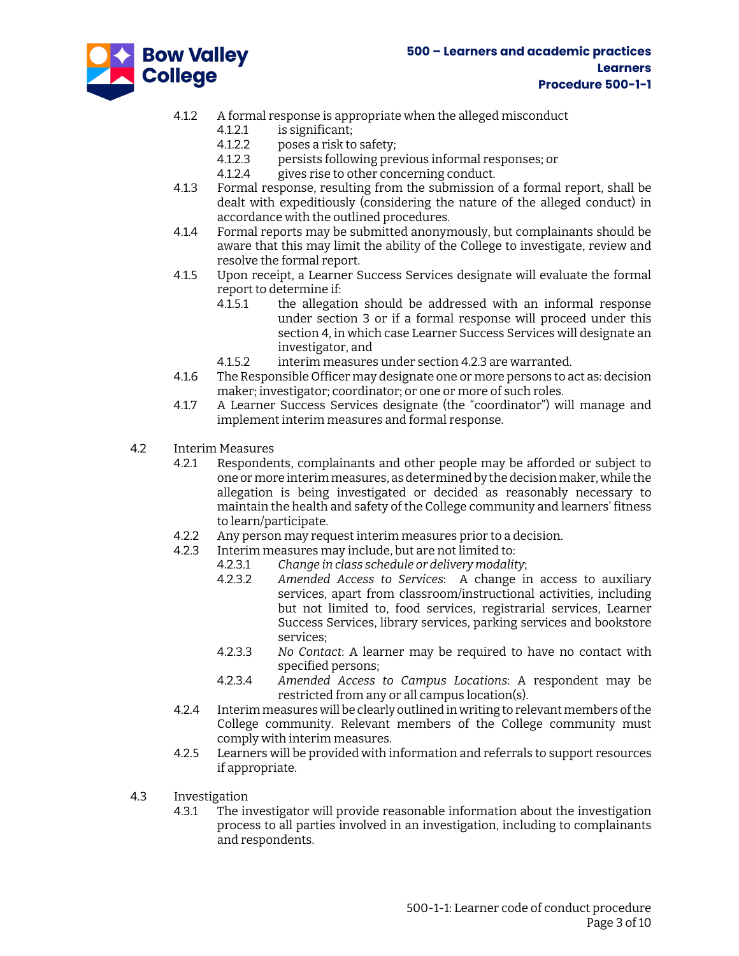



- 4.1.2 A formal response is appropriate when the alleged misconduct
	- 4.1.2.1 is significant;
	- 4.1.2.2 poses a risk to safety;<br>4.1.2.3 persists following pre
		- 4.1.2.3 persists following previous informal responses; or
	- 4.1.2.4 gives rise to other concerning conduct.
- 4.1.3 Formal response, resulting from the submission of a formal report, shall be dealt with expeditiously (considering the nature of the alleged conduct) in accordance with the outlined procedures.
- 4.1.4 Formal reports may be submitted anonymously, but complainants should be aware that this may limit the ability of the College to investigate, review and resolve the formal report.
- 4.1.5 Upon receipt, a Learner Success Services designate will evaluate the formal report to determine if:
	- 4.1.5.1 the allegation should be addressed with an informal response under section [3](#page-1-1) or if a formal response will proceed under this sectio[n 4,](#page-1-0) in which case Learner Success Services will designate an investigator, and
	- 4.1.5.2 interim measures under sectio[n 4.2.3](#page-2-0) are warranted.
- 4.1.6 The Responsible Officer may designate one or more persons to act as: decision maker; investigator; coordinator; or one or more of such roles.
- 4.1.7 A Learner Success Services designate (the "coordinator") will manage and implement interim measures and formal response.
- <span id="page-2-0"></span>4.2 Interim Measures
	- 4.2.1 Respondents, complainants and other people may be afforded or subject to one or more interim measures, as determined by the decision maker, while the allegation is being investigated or decided as reasonably necessary to maintain the health and safety of the College community and learners' fitness to learn/participate.
	- 4.2.2 Any person may request interim measures prior to a decision.
	- 4.2.3 Interim measures may include, but are not limited to:
		- 4.2.3.1 *Change in class schedule or delivery modality*;
		- 4.2.3.2 *Amended Access to Services*: A change in access to auxiliary services, apart from classroom/instructional activities, including but not limited to, food services, registrarial services, Learner Success Services, library services, parking services and bookstore services;
		- 4.2.3.3 *No Contact*: A learner may be required to have no contact with specified persons;
		- 4.2.3.4 *Amended Access to Campus Locations*: A respondent may be restricted from any or all campus location(s).
	- 4.2.4 Interim measures will be clearly outlined in writing to relevant members of the College community. Relevant members of the College community must comply with interim measures.
	- 4.2.5 Learners will be provided with information and referrals to support resources if appropriate.
- <span id="page-2-1"></span>4.3 Investigation
	- 4.3.1 The investigator will provide reasonable information about the investigation process to all parties involved in an investigation, including to complainants and respondents.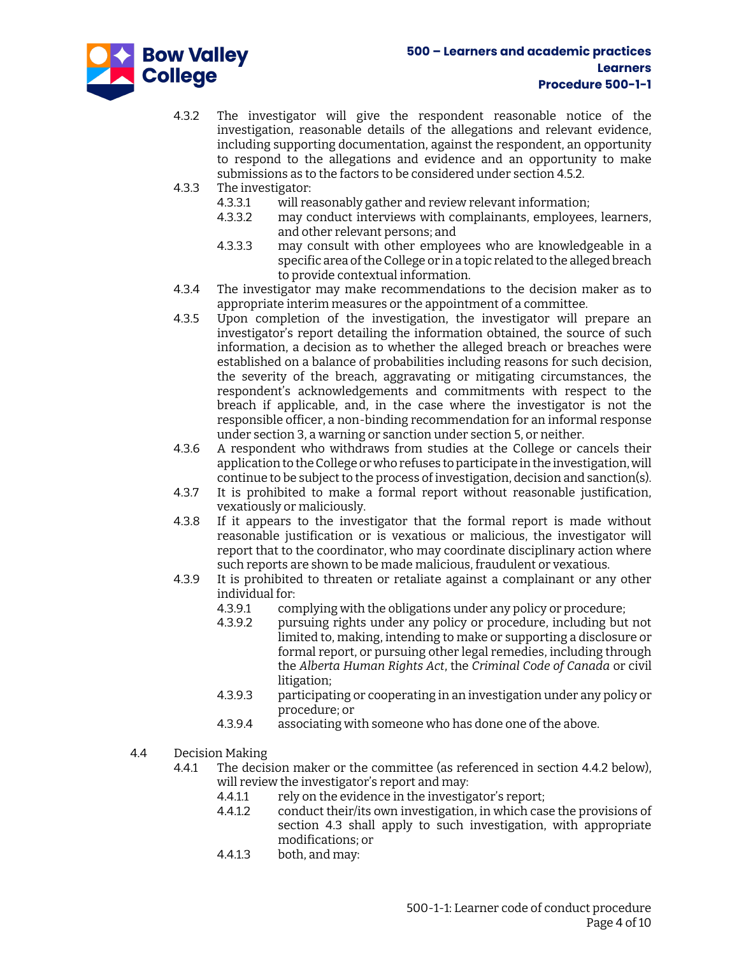

- 4.3.2 The investigator will give the respondent reasonable notice of the investigation, reasonable details of the allegations and relevant evidence, including supporting documentation, against the respondent, an opportunity to respond to the allegations and evidence and an opportunity to make submissions as to the factors to be considered under sectio[n 4.5.2.](#page-4-0)
- 4.3.3 The investigator:
	- 4.3.3.1 will reasonably gather and review relevant information;
	- 4.3.3.2 may conduct interviews with complainants, employees, learners, and other relevant persons; and
	- 4.3.3.3 may consult with other employees who are knowledgeable in a specific area of the College or in a topic related to the alleged breach to provide contextual information.
- 4.3.4 The investigator may make recommendations to the decision maker as to appropriate interim measures or the appointment of a committee.
- 4.3.5 Upon completion of the investigation, the investigator will prepare an investigator's report detailing the information obtained, the source of such information, a decision as to whether the alleged breach or breaches were established on a balance of probabilities including reasons for such decision, the severity of the breach, aggravating or mitigating circumstances, the respondent's acknowledgements and commitments with respect to the breach if applicable, and, in the case where the investigator is not the responsible officer, a non-binding recommendation for an informal response under sectio[n 3,](#page-1-1) a warning or sanction under sectio[n 5,](#page-7-0) or neither.
- 4.3.6 A respondent who withdraws from studies at the College or cancels their application to the College or who refuses to participate in the investigation, will continue to be subject to the process of investigation, decision and sanction(s).
- 4.3.7 It is prohibited to make a formal report without reasonable justification, vexatiously or maliciously.
- 4.3.8 If it appears to the investigator that the formal report is made without reasonable justification or is vexatious or malicious, the investigator will report that to the coordinator, who may coordinate disciplinary action where such reports are shown to be made malicious, fraudulent or vexatious.
- 4.3.9 It is prohibited to threaten or retaliate against a complainant or any other individual for:
	- 4.3.9.1 complying with the obligations under any policy or procedure;
	- 4.3.9.2 pursuing rights under any policy or procedure, including but not limited to, making, intending to make or supporting a disclosure or formal report, or pursuing other legal remedies, including through the *Alberta Human Rights Act*, the *Criminal Code of Canada* or civil litigation;
	- 4.3.9.3 participating or cooperating in an investigation under any policy or procedure; or
	- 4.3.9.4 associating with someone who has done one of the above.
- 4.4 Decision Making
	- 4.4.1 The decision maker or the committee (as referenced in section [4.4.2](#page-4-1) below), will review the investigator's report and may:
		- 4.4.1.1 rely on the evidence in the investigator's report;
		- 4.4.1.2 conduct their/its own investigation, in which case the provisions of section [4.3](#page-2-1) shall apply to such investigation, with appropriate modifications; or
		- 4.4.1.3 both, and may: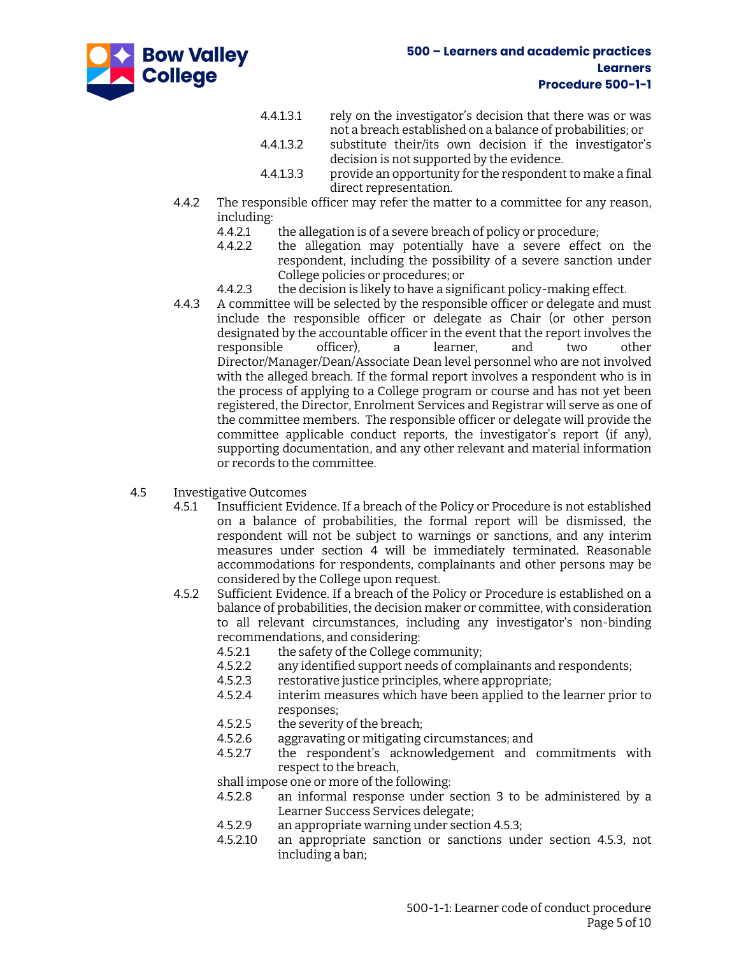

- 4.4.1.3.1 rely on the investigator's decision that there was or was not a breach established on a balance of probabilities; or
- 4.4.1.3.2 substitute their/its own decision if the investigator's decision is not supported by the evidence.
- 4.4.1.3.3 provide an opportunity for the respondent to make a final direct representation.
- <span id="page-4-1"></span>4.4.2 The responsible officer may refer the matter to a committee for any reason, including:
	- 4.4.2.1 the allegation is of a severe breach of policy or procedure;
	- 4.4.2.2 the allegation may potentially have a severe effect on the respondent, including the possibility of a severe sanction under College policies or procedures; or
	- 4.4.2.3 the decision is likely to have a significant policy-making effect.
- 4.4.3 A committee will be selected by the responsible officer or delegate and must include the responsible officer or delegate as Chair (or other person designated by the accountable officer in the event that the report involves the responsible officer), a learner, and two other Director/Manager/Dean/Associate Dean level personnel who are not involved with the alleged breach. If the formal report involves a respondent who is in the process of applying to a College program or course and has not yet been registered, the Director, Enrolment Services and Registrar will serve as one of the committee members. The responsible officer or delegate will provide the committee applicable conduct reports, the investigator's report (if any), supporting documentation, and any other relevant and material information or records to the committee.
- <span id="page-4-0"></span>4.5 Investigative Outcomes
	- 4.5.1 Insufficient Evidence. If a breach of the Policy or Procedure is not established on a balance of probabilities, the formal report will be dismissed, the respondent will not be subject to warnings or sanctions, and any interim measures under section [4](#page-1-0) will be immediately terminated. Reasonable accommodations for respondents, complainants and other persons may be considered by the College upon request.
	- 4.5.2 Sufficient Evidence. If a breach of the Policy or Procedure is established on a balance of probabilities, the decision maker or committee, with consideration to all relevant circumstances, including any investigator's non-binding recommendations, and considering:
		- 4.5.2.1 the safety of the College community;
		- 4.5.2.2 any identified support needs of complainants and respondents;
		- 4.5.2.3 restorative justice principles, where appropriate;
		- 4.5.2.4 interim measures which have been applied to the learner prior to responses;
		- 4.5.2.5 the severity of the breach;
		- 4.5.2.6 aggravating or mitigating circumstances; and
		- 4.5.2.7 the respondent's acknowledgement and commitments with respect to the breach,

shall impose one or more of the following:

- 4.5.2.8 an informal response under section [3](#page-1-1) to be administered by a Learner Success Services delegate;
- 4.5.2.9 an appropriate warning under sectio[n 4.5.3;](#page-5-0)
- 4.5.2.10 an appropriate sanction or sanctions under section [4.5.3,](#page-5-0) not including a ban;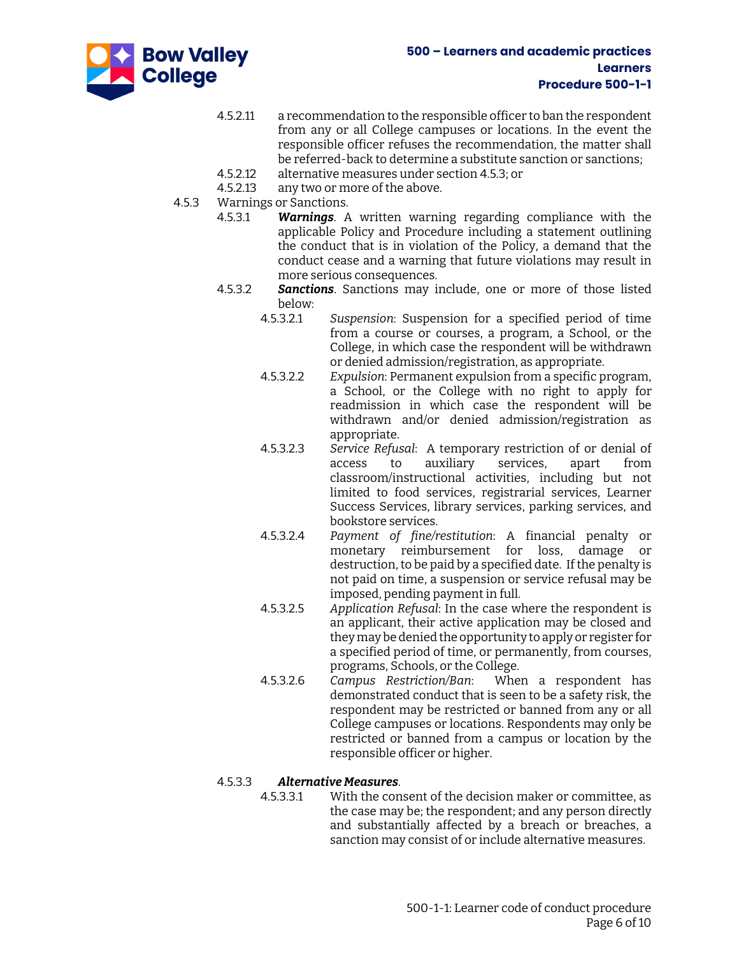

- 4.5.2.11 a recommendation to the responsible officer to ban the respondent from any or all College campuses or locations. In the event the responsible officer refuses the recommendation, the matter shall be referred-back to determine a substitute sanction or sanctions;
- 4.5.2.12 alternative measures under section [4.5.3;](#page-5-0) or
- 4.5.2.13 any two or more of the above.
- <span id="page-5-0"></span>4.5.3 Warnings or Sanctions.
	- 4.5.3.1 *Warnings*. A written warning regarding compliance with the applicable Policy and Procedure including a statement outlining the conduct that is in violation of the Policy, a demand that the conduct cease and a warning that future violations may result in more serious consequences.
	- 4.5.3.2 *Sanctions*. Sanctions may include, one or more of those listed below:
		- 4.5.3.2.1 *Suspension*: Suspension for a specified period of time from a course or courses, a program, a School, or the College, in which case the respondent will be withdrawn or denied admission/registration, as appropriate.
		- 4.5.3.2.2 *Expulsion*: Permanent expulsion from a specific program, a School, or the College with no right to apply for readmission in which case the respondent will be withdrawn and/or denied admission/registration as appropriate.
		- 4.5.3.2.3 *Service Refusal*: A temporary restriction of or denial of access to auxiliary services, apart from classroom/instructional activities, including but not limited to food services, registrarial services, Learner Success Services, library services, parking services, and bookstore services.
		- 4.5.3.2.4 *Payment of fine/restitution*: A financial penalty or monetary reimbursement for loss, damage or destruction, to be paid by a specified date. If the penalty is not paid on time, a suspension or service refusal may be imposed, pending payment in full.
		- 4.5.3.2.5 *Application Refusal*: In the case where the respondent is an applicant, their active application may be closed and they may be denied the opportunity to apply or register for a specified period of time, or permanently, from courses, programs, Schools, or the College.
		- 4.5.3.2.6 *Campus Restriction/Ban*: When a respondent has demonstrated conduct that is seen to be a safety risk, the respondent may be restricted or banned from any or all College campuses or locations. Respondents may only be restricted or banned from a campus or location by the responsible officer or higher.

## 4.5.3.3 *Alternative Measures*.

4.5.3.3.1 With the consent of the decision maker or committee, as the case may be; the respondent; and any person directly and substantially affected by a breach or breaches, a sanction may consist of or include alternative measures.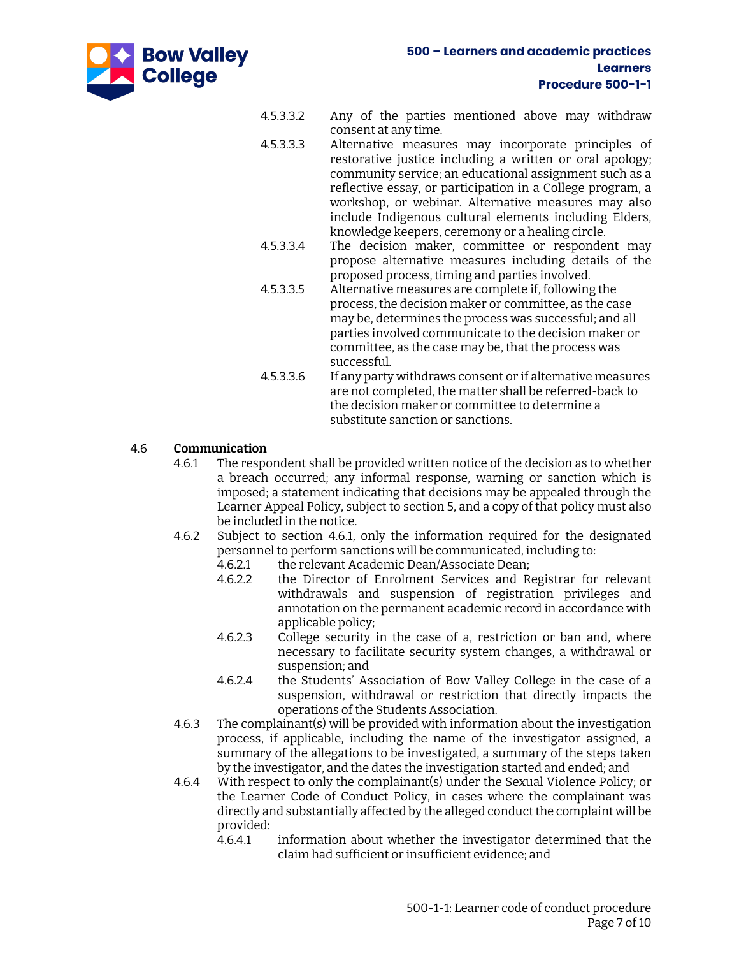

- 4.5.3.3.2 Any of the parties mentioned above may withdraw consent at any time.
- 4.5.3.3.3 Alternative measures may incorporate principles of restorative justice including a written or oral apology; community service; an educational assignment such as a reflective essay, or participation in a College program, a workshop, or webinar. Alternative measures may also include Indigenous cultural elements including Elders, knowledge keepers, ceremony or a healing circle.
- 4.5.3.3.4 The decision maker, committee or respondent may propose alternative measures including details of the proposed process, timing and parties involved.
- 4.5.3.3.5 Alternative measures are complete if, following the process, the decision maker or committee, as the case may be, determines the process was successful; and all parties involved communicate to the decision maker or committee, as the case may be, that the process was successful.
- 4.5.3.3.6 If any party withdraws consent or if alternative measures are not completed, the matter shall be referred-back to the decision maker or committee to determine a substitute sanction or sanctions.

## <span id="page-6-0"></span>4.6 **Communication**

- 4.6.1 The respondent shall be provided written notice of the decision as to whether a breach occurred; any informal response, warning or sanction which is imposed; a statement indicating that decisions may be appealed through the Learner Appeal Policy, subject to sectio[n 5,](#page-7-0) and a copy of that policy must also be included in the notice.
- 4.6.2 Subject to section [4.6.1,](#page-6-0) only the information required for the designated personnel to perform sanctions will be communicated, including to:
	- 4.6.2.1 the relevant Academic Dean/Associate Dean;
	- 4.6.2.2 the Director of Enrolment Services and Registrar for relevant withdrawals and suspension of registration privileges and annotation on the permanent academic record in accordance with applicable policy;
	- 4.6.2.3 College security in the case of a, restriction or ban and, where necessary to facilitate security system changes, a withdrawal or suspension; and
	- 4.6.2.4 the Students' Association of Bow Valley College in the case of a suspension, withdrawal or restriction that directly impacts the operations of the Students Association.
- 4.6.3 The complainant(s) will be provided with information about the investigation process, if applicable, including the name of the investigator assigned, a summary of the allegations to be investigated, a summary of the steps taken by the investigator, and the dates the investigation started and ended; and
- 4.6.4 With respect to only the complainant(s) under the Sexual Violence Policy; or the Learner Code of Conduct Policy, in cases where the complainant was directly and substantially affected by the alleged conduct the complaint will be provided:
	- 4.6.4.1 information about whether the investigator determined that the claim had sufficient or insufficient evidence; and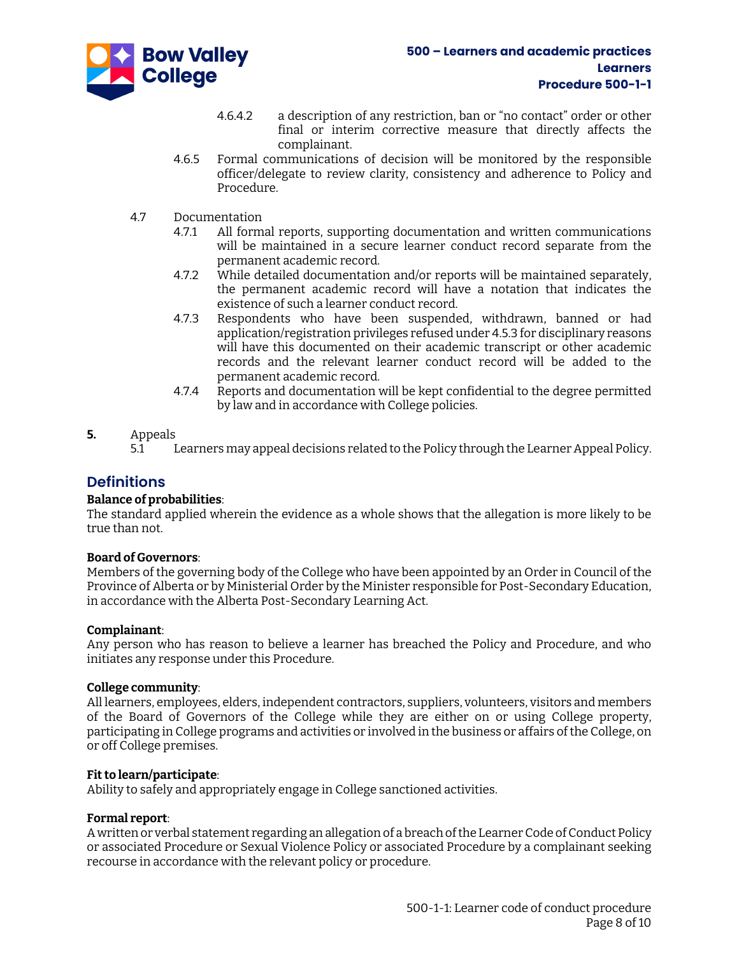

- 4.6.4.2 a description of any restriction, ban or "no contact" order or other final or interim corrective measure that directly affects the complainant.
- 4.6.5 Formal communications of decision will be monitored by the responsible officer/delegate to review clarity, consistency and adherence to Policy and Procedure.
- 4.7 Documentation
	- 4.7.1 All formal reports, supporting documentation and written communications will be maintained in a secure learner conduct record separate from the permanent academic record.
	- 4.7.2 While detailed documentation and/or reports will be maintained separately, the permanent academic record will have a notation that indicates the existence of such a learner conduct record.
	- 4.7.3 Respondents who have been suspended, withdrawn, banned or had application/registration privileges refused unde[r 4.5.3](#page-5-0) for disciplinary reasons will have this documented on their academic transcript or other academic records and the relevant learner conduct record will be added to the permanent academic record.
	- 4.7.4 Reports and documentation will be kept confidential to the degree permitted by law and in accordance with College policies.

#### <span id="page-7-0"></span>**5.** Appeals

5.1 Learners may appeal decisions related to the Policy through the Learner Appeal Policy.

## **Definitions**

#### **Balance of probabilities**:

The standard applied wherein the evidence as a whole shows that the allegation is more likely to be true than not.

#### **Board of Governors**:

Members of the governing body of the College who have been appointed by an Order in Council of the Province of Alberta or by Ministerial Order by the Minister responsible for Post-Secondary Education, in accordance with the Alberta Post-Secondary Learning Act.

#### **Complainant**:

Any person who has reason to believe a learner has breached the Policy and Procedure, and who initiates any response under this Procedure.

#### **College community**:

All learners, employees, elders, independent contractors, suppliers, volunteers, visitors and members of the Board of Governors of the College while they are either on or using College property, participating in College programs and activities or involved in the business or affairs of the College, on or off College premises.

#### **Fit to learn/participate**:

Ability to safely and appropriately engage in College sanctioned activities.

#### **Formal report**:

A written or verbal statement regarding an allegation of a breach of the Learner Code of Conduct Policy or associated Procedure or Sexual Violence Policy or associated Procedure by a complainant seeking recourse in accordance with the relevant policy or procedure.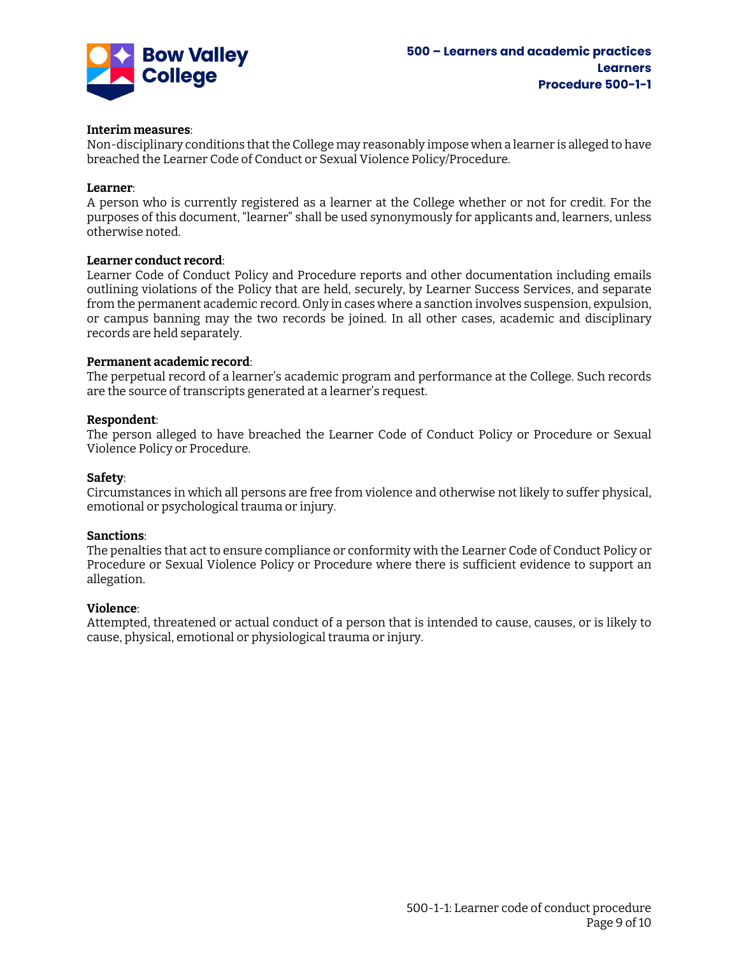

#### **Interim measures**:

Non-disciplinary conditions that the College may reasonably impose when a learner is alleged to have breached the Learner Code of Conduct or Sexual Violence Policy/Procedure.

#### **Learner**:

A person who is currently registered as a learner at the College whether or not for credit. For the purposes of this document, "learner" shall be used synonymously for applicants and, learners, unless otherwise noted.

#### **Learner conduct record**:

Learner Code of Conduct Policy and Procedure reports and other documentation including emails outlining violations of the Policy that are held, securely, by Learner Success Services, and separate from the permanent academic record. Only in cases where a sanction involves suspension, expulsion, or campus banning may the two records be joined. In all other cases, academic and disciplinary records are held separately.

#### **Permanent academic record**:

The perpetual record of a learner's academic program and performance at the College. Such records are the source of transcripts generated at a learner's request.

#### **Respondent**:

The person alleged to have breached the Learner Code of Conduct Policy or Procedure or Sexual Violence Policy or Procedure.

#### **Safety**:

Circumstances in which all persons are free from violence and otherwise not likely to suffer physical, emotional or psychological trauma or injury.

#### **Sanctions**:

The penalties that act to ensure compliance or conformity with the Learner Code of Conduct Policy or Procedure or Sexual Violence Policy or Procedure where there is sufficient evidence to support an allegation.

#### **Violence**:

Attempted, threatened or actual conduct of a person that is intended to cause, causes, or is likely to cause, physical, emotional or physiological trauma or injury.